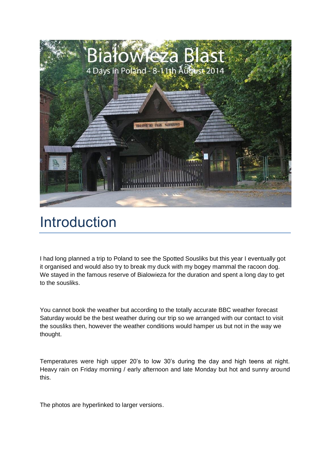

# Introduction

I had long planned a trip to Poland to see the Spotted Sousliks but this year I eventually got it organised and would also try to break my duck with my bogey mammal the racoon dog. We stayed in the famous reserve of Bialowieza for the duration and spent a long day to get to the sousliks.

You cannot book the weather but according to the totally accurate BBC weather forecast Saturday would be the best weather during our trip so we arranged with our contact to visit the sousliks then, however the weather conditions would hamper us but not in the way we thought.

Temperatures were high upper 20's to low 30's during the day and high teens at night. Heavy rain on Friday morning / early afternoon and late Monday but hot and sunny around this.

The photos are hyperlinked to larger versions.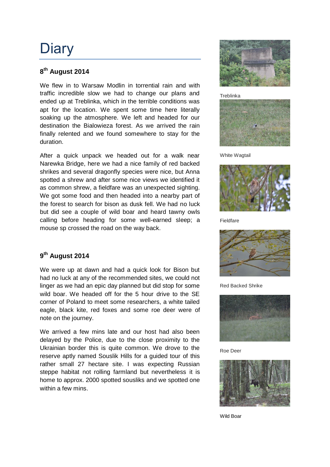# **Diary**

#### **8 th August 2014**

We flew in to Warsaw Modlin in torrential rain and with traffic incredible slow we had to change our plans and ended up at Treblinka, which in the terrible conditions was apt for the location. We spent some time here literally soaking up the atmosphere. We left and headed for our destination the Bialowieza forest. As we arrived the rain finally relented and we found somewhere to stay for the duration.

After a quick unpack we headed out for a walk near Narewka Bridge, here we had a nice family of red backed shrikes and several dragonfly species were nice, but Anna spotted a shrew and after some nice views we identified it as common shrew, a fieldfare was an unexpected sighting. We got some food and then headed into a nearby part of the forest to search for bison as dusk fell. We had no luck but did see a couple of wild boar and heard tawny owls calling before heading for some well-earned sleep; a mouse sp crossed the road on the way back.

#### **9 th August 2014**

We were up at dawn and had a quick look for Bison but had no luck at any of the recommended sites, we could not linger as we had an epic day planned but did stop for some wild boar. We headed off for the 5 hour drive to the SE corner of Poland to meet some researchers, a white tailed eagle, black kite, red foxes and some roe deer were of note on the journey.

We arrived a few mins late and our host had also been delayed by the Police, due to the close proximity to the Ukrainian border this is quite common. We drove to the reserve aptly named Souslik Hills for a guided tour of this rather small 27 hectare site. I was expecting Russian steppe habitat not rolling farmland but nevertheless it is home to approx. 2000 spotted sousliks and we spotted one within a few mins.



Treblinka



White Wagtail



Fieldfare



Red Backed Shrike



Roe Deer



Wild Boar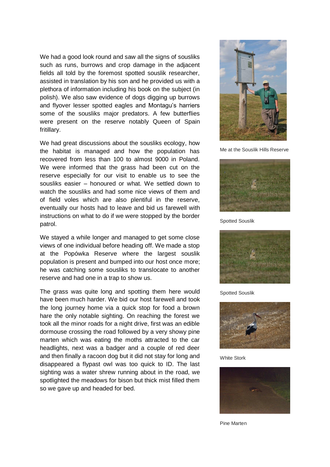We had a good look round and saw all the signs of sousliks such as runs, burrows and crop damage in the adjacent fields all told by the foremost spotted souslik researcher, assisted in translation by his son and he provided us with a plethora of information including his book on the subject (in polish). We also saw evidence of dogs digging up burrows and flyover lesser spotted eagles and Montagu's harriers some of the sousliks major predators. A few butterflies were present on the reserve notably Queen of Spain fritillary.

We had great discussions about the sousliks ecology, how the habitat is managed and how the population has recovered from less than 100 to almost 9000 in Poland. We were informed that the grass had been cut on the reserve especially for our visit to enable us to see the sousliks easier – honoured or what. We settled down to watch the sousliks and had some nice views of them and of field voles which are also plentiful in the reserve, eventually our hosts had to leave and bid us farewell with instructions on what to do if we were stopped by the border patrol.

We stayed a while longer and managed to get some close views of one individual before heading off. We made a stop at the Popówka Reserve where the largest souslik population is present and bumped into our host once more; he was catching some sousliks to translocate to another reserve and had one in a trap to show us.

The grass was quite long and spotting them here would have been much harder. We bid our host farewell and took the long journey home via a quick stop for food a brown hare the only notable sighting. On reaching the forest we took all the minor roads for a night drive, first was an edible dormouse crossing the road followed by a very showy pine marten which was eating the moths attracted to the car headlights, next was a badger and a couple of red deer and then finally a racoon dog but it did not stay for long and disappeared a flypast owl was too quick to ID. The last sighting was a water shrew running about in the road, we spotlighted the meadows for bison but thick mist filled them so we gave up and headed for bed.



Me at the Souslik Hills Reserve



Spotted Souslik



Spotted Souslik



White Stork



Pine Marten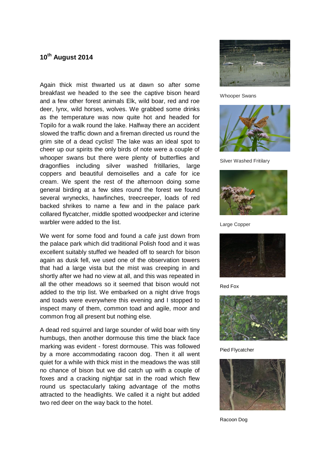#### **10th August 2014**

Again thick mist thwarted us at dawn so after some breakfast we headed to the see the captive bison heard and a few other forest animals Elk, wild boar, red and roe deer, lynx, wild horses, wolves. We grabbed some drinks as the temperature was now quite hot and headed for Topilo for a walk round the lake. Halfway there an accident slowed the traffic down and a fireman directed us round the grim site of a dead cyclist! The lake was an ideal spot to cheer up our spirits the only birds of note were a couple of whooper swans but there were plenty of butterflies and dragonflies including silver washed fritillaries, large coppers and beautiful demoiselles and a cafe for ice cream. We spent the rest of the afternoon doing some general birding at a few sites round the forest we found several wrynecks, hawfinches, treecreeper, loads of red backed shrikes to name a few and in the palace park collared flycatcher, middle spotted woodpecker and icterine warbler were added to the list.

We went for some food and found a cafe just down from the palace park which did traditional Polish food and it was excellent suitably stuffed we headed off to search for bison again as dusk fell, we used one of the observation towers that had a large vista but the mist was creeping in and shortly after we had no view at all, and this was repeated in all the other meadows so it seemed that bison would not added to the trip list. We embarked on a night drive frogs and toads were everywhere this evening and I stopped to inspect many of them, common toad and agile, moor and common frog all present but nothing else.

A dead red squirrel and large sounder of wild boar with tiny humbugs, then another dormouse this time the black face marking was evident - forest dormouse. This was followed by a more accommodating racoon dog. Then it all went quiet for a while with thick mist in the meadows the was still no chance of bison but we did catch up with a couple of foxes and a cracking nightjar sat in the road which flew round us spectacularly taking advantage of the moths attracted to the headlights. We called it a night but added two red deer on the way back to the hotel.



Whooper Swans



Silver Washed Fritilary



Large Copper



Red Fox



Pied Flycatcher



Racoon Dog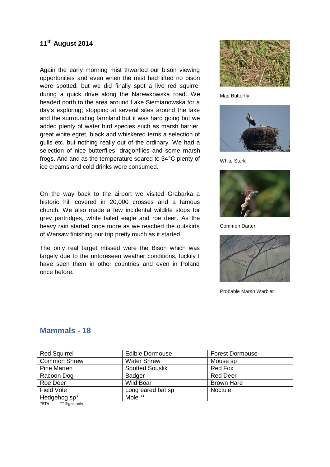#### **11 th August 2014**

Again the early morning mist thwarted our bison viewing opportunities and even when the mist had lifted no bison were spotted, but we did finally spot a live red squirrel during a quick drive along the Narewkowska road. We headed north to the area around Lake Siemianowska for a day's exploring; stopping at several sites around the lake and the surrounding farmland but it was hard going but we added plenty of water bird species such as marsh harrier, great white egret, black and whiskered terns a selection of gulls etc. but nothing really out of the ordinary. We had a selection of nice butterflies, dragonflies and some marsh frogs. And and as the temperature soared to 34°C plenty of ice creams and cold drinks were consumed.

On the way back to the airport we visited Grabarka a historic hill covered in 20,000 crosses and a famous church. We also made a few incidental wildlife stops for grey partridges, white tailed eagle and roe deer. As the heavy rain started once more as we reached the outskirts of Warsaw finishing our trip pretty much as it started.

The only real target missed were the Bison which was largely due to the unforeseen weather conditions, luckily I have seen them in other countries and even in Poland once before.



Map Butterfly



White Stork



Common Darter



Probable Marsh Warbler

| <b>Red Squirrel</b> | <b>Edible Dormouse</b> | <b>Forest Dormouse</b> |
|---------------------|------------------------|------------------------|
| <b>Common Shrew</b> | <b>Water Shrew</b>     | Mouse sp               |
| <b>Pine Marten</b>  | <b>Spotted Souslik</b> | Red Fox                |
| Racoon Dog          | <b>Badger</b>          | <b>Red Deer</b>        |
| Roe Deer            | Wild Boar              | <b>Brown Hare</b>      |
| Field Vole          | Long eared bat sp      | <b>Noctule</b>         |
| Hedgehog sp*        | Mole **                |                        |
|                     |                        |                        |

#### **Mammals - 18**

\*RTA \*\* Signs only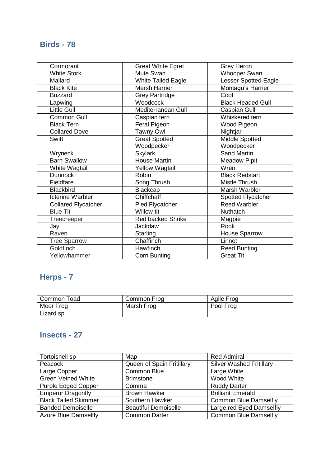## **Birds - 78**

| Cormorant                  | <b>Great White Egret</b>  | <b>Grey Heron</b>           |
|----------------------------|---------------------------|-----------------------------|
| White Stork                | Mute Swan                 | Whooper Swan                |
| Mallard                    | <b>White Tailed Eagle</b> | <b>Lesser Spotted Eagle</b> |
| <b>Black Kite</b>          | <b>Marsh Harrier</b>      | Montagu's Harrier           |
| <b>Buzzard</b>             | <b>Grey Partridge</b>     | Coot                        |
| Lapwing                    | Woodcock                  | <b>Black Headed Gull</b>    |
| <b>Little Gull</b>         | Mediterranean Gull        | Caspian Gull                |
| Common Gull                | Caspian tern              | Whiskered tern              |
| <b>Black Tern</b>          | Feral Pigeon              | Wood Pigeon                 |
| <b>Collared Dove</b>       | <b>Tawny Owl</b>          | Nightjar                    |
| Swift                      | <b>Great Spotted</b>      | <b>Middle Spotted</b>       |
|                            | Woodpecker                | Woodpecker                  |
| Wryneck                    | <b>Skylark</b>            | <b>Sand Martin</b>          |
| <b>Barn Swallow</b>        | <b>House Martin</b>       | <b>Meadow Pipit</b>         |
| White Wagtail              | <b>Yellow Wagtail</b>     | Wren                        |
| <b>Dunnock</b>             | Robin                     | <b>Black Redstart</b>       |
| Fieldfare                  | Song Thrush               | Mistle Thrush               |
| <b>Blackbird</b>           | Blackcap                  | Marsh Warbler               |
| <b>Icterine Warbler</b>    | Chiffchaff                | Spotted Flycatcher          |
| <b>Collared Flycatcher</b> | <b>Pied Flycatcher</b>    | <b>Reed Warbler</b>         |
| <b>Blue Tit</b>            | Willow tit                | Nuthatch                    |
| Treecreeper                | <b>Red backed Shrike</b>  | Magpie                      |
| Jay                        | Jackdaw                   | Rook                        |
| Raven                      | Starling                  | <b>House Sparrow</b>        |
| <b>Tree Sparrow</b>        | Chaffinch                 | Linnet                      |
| Goldfinch                  | Hawfinch                  | <b>Reed Bunting</b>         |
| Yellowhammer               | <b>Corn Bunting</b>       | <b>Great Tit</b>            |

## **Herps - 7**

| Common Toad | Common Frog | Agile Frog |
|-------------|-------------|------------|
| Moor Frog   | Marsh Frog  | Pool Frog  |
| Lizard sp   |             |            |

## **Insects - 27**

| Tortoishell sp              | Map                         | <b>Red Admiral</b>              |
|-----------------------------|-----------------------------|---------------------------------|
| Peacock                     | Queen of Spain Fritillary   | <b>Silver Washed Fritillary</b> |
| Large Copper                | Common Blue                 | Large White                     |
| <b>Green Veined White</b>   | <b>Brimstone</b>            | Wood White                      |
| <b>Purple Edged Copper</b>  | Comma                       | <b>Ruddy Darter</b>             |
| <b>Emperor Dragonfly</b>    | <b>Brown Hawker</b>         | <b>Brilliant Emerald</b>        |
| <b>Black Tailed Skimmer</b> | Southern Hawker             | <b>Common Blue Damselfly</b>    |
| <b>Banded Demoiselle</b>    | <b>Beautiful Demoiselle</b> | Large red Eyed Damselfly        |
| <b>Azure Blue Damselfly</b> | <b>Common Darter</b>        | <b>Common Blue Damselfly</b>    |